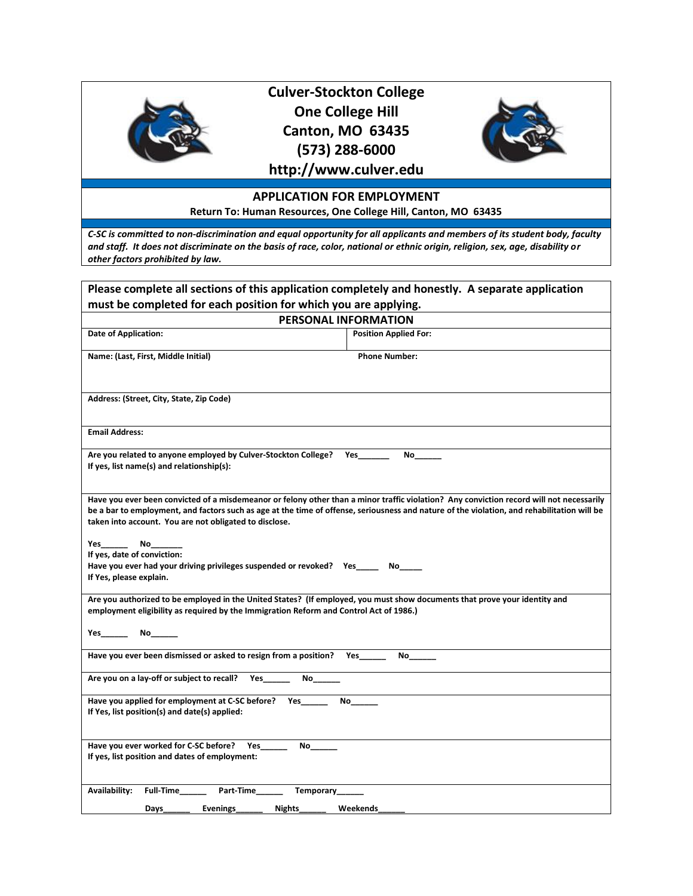

# **Culver-Stockton College One College Hill Canton, MO 63435 (573) 288-6000**



## **http://www.culver.edu**

### **APPLICATION FOR EMPLOYMENT**

**Return To: Human Resources, One College Hill, Canton, MO 63435**

*C-SC is committed to non-discrimination and equal opportunity for all applicants and members of its student body, faculty and staff. It does not discriminate on the basis of race, color, national or ethnic origin, religion, sex, age, disability or other factors prohibited by law.*

| Please complete all sections of this application completely and honestly. A separate application                                                                                                                        |                                                                                                                                                                                                                                                                                         |  |
|-------------------------------------------------------------------------------------------------------------------------------------------------------------------------------------------------------------------------|-----------------------------------------------------------------------------------------------------------------------------------------------------------------------------------------------------------------------------------------------------------------------------------------|--|
| must be completed for each position for which you are applying.                                                                                                                                                         |                                                                                                                                                                                                                                                                                         |  |
|                                                                                                                                                                                                                         | PERSONAL INFORMATION                                                                                                                                                                                                                                                                    |  |
| <b>Date of Application:</b>                                                                                                                                                                                             | <b>Position Applied For:</b>                                                                                                                                                                                                                                                            |  |
| Name: (Last, First, Middle Initial)                                                                                                                                                                                     | <b>Phone Number:</b>                                                                                                                                                                                                                                                                    |  |
| Address: (Street, City, State, Zip Code)                                                                                                                                                                                |                                                                                                                                                                                                                                                                                         |  |
| <b>Email Address:</b>                                                                                                                                                                                                   |                                                                                                                                                                                                                                                                                         |  |
| Are you related to anyone employed by Culver-Stockton College? Yes<br>If yes, list name(s) and relationship(s):                                                                                                         | No                                                                                                                                                                                                                                                                                      |  |
| taken into account. You are not obligated to disclose.                                                                                                                                                                  | Have you ever been convicted of a misdemeanor or felony other than a minor traffic violation? Any conviction record will not necessarily<br>be a bar to employment, and factors such as age at the time of offense, seriousness and nature of the violation, and rehabilitation will be |  |
| <b>Yes</b><br>No<br>If yes, date of conviction:<br>Have you ever had your driving privileges suspended or revoked? Yes No<br>If Yes, please explain.                                                                    |                                                                                                                                                                                                                                                                                         |  |
| Are you authorized to be employed in the United States? (If employed, you must show documents that prove your identity and<br>employment eligibility as required by the Immigration Reform and Control Act of 1986.)    |                                                                                                                                                                                                                                                                                         |  |
| Yes No                                                                                                                                                                                                                  |                                                                                                                                                                                                                                                                                         |  |
| Have you ever been dismissed or asked to resign from a position? Yes                                                                                                                                                    | No the set of the set of the set of the set of the set of the set of the set of the set of the set of the set o                                                                                                                                                                         |  |
| Are you on a lay-off or subject to recall?<br><b>Yes</b><br>No the set of the set of the set of the set of the set of the set of the set of the set of the set of the set o                                             |                                                                                                                                                                                                                                                                                         |  |
| Have you applied for employment at C-SC before? Yes<br>No the set of the set of the set of the set of the set of the set of the set of the set of the set of the set o<br>If Yes, list position(s) and date(s) applied: |                                                                                                                                                                                                                                                                                         |  |
| Have you ever worked for C-SC before? Yes<br>If yes, list position and dates of employment:                                                                                                                             |                                                                                                                                                                                                                                                                                         |  |
| Availability:<br><b>Full-Time</b><br>Part-Time<br>Temporary___<br>Days___________ Evenings__<br>Nights_____                                                                                                             | Weekends                                                                                                                                                                                                                                                                                |  |
|                                                                                                                                                                                                                         |                                                                                                                                                                                                                                                                                         |  |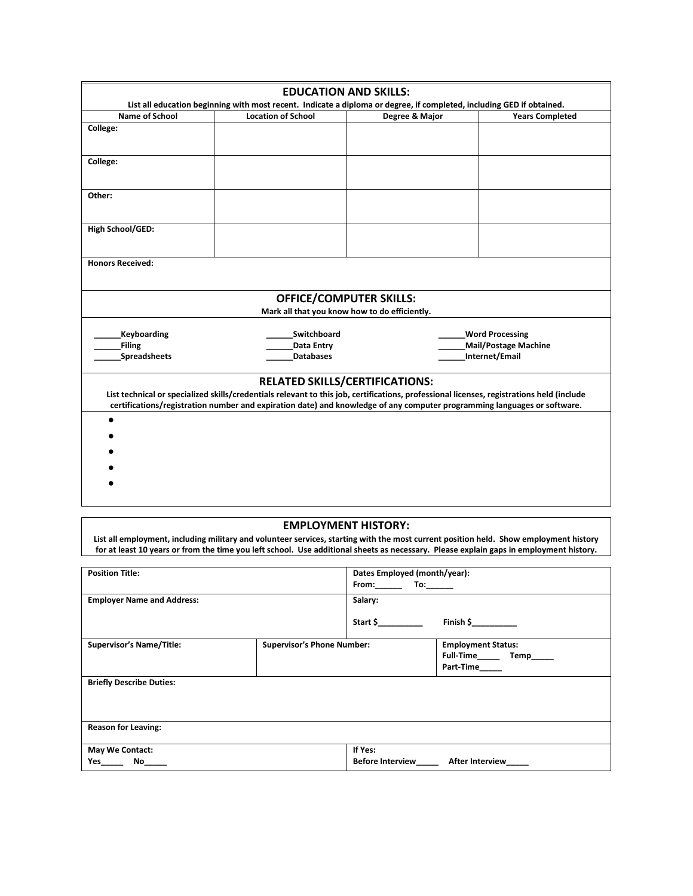|                                                                                 | <b>EDUCATION AND SKILLS:</b>                                                                                                                                                                                                                                          |                |                                                       |
|---------------------------------------------------------------------------------|-----------------------------------------------------------------------------------------------------------------------------------------------------------------------------------------------------------------------------------------------------------------------|----------------|-------------------------------------------------------|
|                                                                                 | List all education beginning with most recent. Indicate a diploma or degree, if completed, including GED if obtained.                                                                                                                                                 |                |                                                       |
| Name of School                                                                  | <b>Location of School</b>                                                                                                                                                                                                                                             | Degree & Major | <b>Years Completed</b>                                |
| College:                                                                        |                                                                                                                                                                                                                                                                       |                |                                                       |
| College:                                                                        |                                                                                                                                                                                                                                                                       |                |                                                       |
| Other:                                                                          |                                                                                                                                                                                                                                                                       |                |                                                       |
| High School/GED:                                                                |                                                                                                                                                                                                                                                                       |                |                                                       |
| <b>Honors Received:</b>                                                         |                                                                                                                                                                                                                                                                       |                |                                                       |
| <b>OFFICE/COMPUTER SKILLS:</b><br>Mark all that you know how to do efficiently. |                                                                                                                                                                                                                                                                       |                |                                                       |
|                                                                                 |                                                                                                                                                                                                                                                                       |                |                                                       |
| <b>Keyboarding</b><br><b>Filing</b>                                             | Switchboard<br><b>Data Entry</b>                                                                                                                                                                                                                                      |                | <b>Word Processing</b><br><b>Mail/Postage Machine</b> |
| <b>Spreadsheets</b>                                                             | <b>Databases</b>                                                                                                                                                                                                                                                      |                | Internet/Email                                        |
|                                                                                 | <b>RELATED SKILLS/CERTIFICATIONS:</b>                                                                                                                                                                                                                                 |                |                                                       |
|                                                                                 | List technical or specialized skills/credentials relevant to this job, certifications, professional licenses, registrations held (include<br>certifications/registration number and expiration date) and knowledge of any computer programming languages or software. |                |                                                       |
|                                                                                 |                                                                                                                                                                                                                                                                       |                |                                                       |
|                                                                                 |                                                                                                                                                                                                                                                                       |                |                                                       |
|                                                                                 |                                                                                                                                                                                                                                                                       |                |                                                       |
|                                                                                 |                                                                                                                                                                                                                                                                       |                |                                                       |

### **EMPLOYMENT HISTORY:**

**List all employment, including military and volunteer services, starting with the most current position held. Show employment history for at least 10 years or from the time you left school. Use additional sheets as necessary. Please explain gaps in employment history.**

| <b>Position Title:</b>            |                                   | Dates Employed (month/year):<br>From: $\qquad \qquad$ To: $\qquad \qquad$ |                                                                                              |
|-----------------------------------|-----------------------------------|---------------------------------------------------------------------------|----------------------------------------------------------------------------------------------|
| <b>Employer Name and Address:</b> |                                   | Salary:                                                                   |                                                                                              |
|                                   |                                   | Start \$                                                                  | Finish $\frac{\xi_{\text{max}}}{\xi_{\text{max}}}-\frac{\xi_{\text{max}}}{\xi_{\text{max}}}$ |
| <b>Supervisor's Name/Title:</b>   | <b>Supervisor's Phone Number:</b> |                                                                           | <b>Employment Status:</b><br>Full-Time Temp<br>Part-Time_____                                |
| <b>Briefly Describe Duties:</b>   |                                   |                                                                           |                                                                                              |
| <b>Reason for Leaving:</b>        |                                   |                                                                           |                                                                                              |
| May We Contact:<br>Yes<br>No      |                                   | If Yes:<br><b>Before Interview</b>                                        | <b>After Interview</b>                                                                       |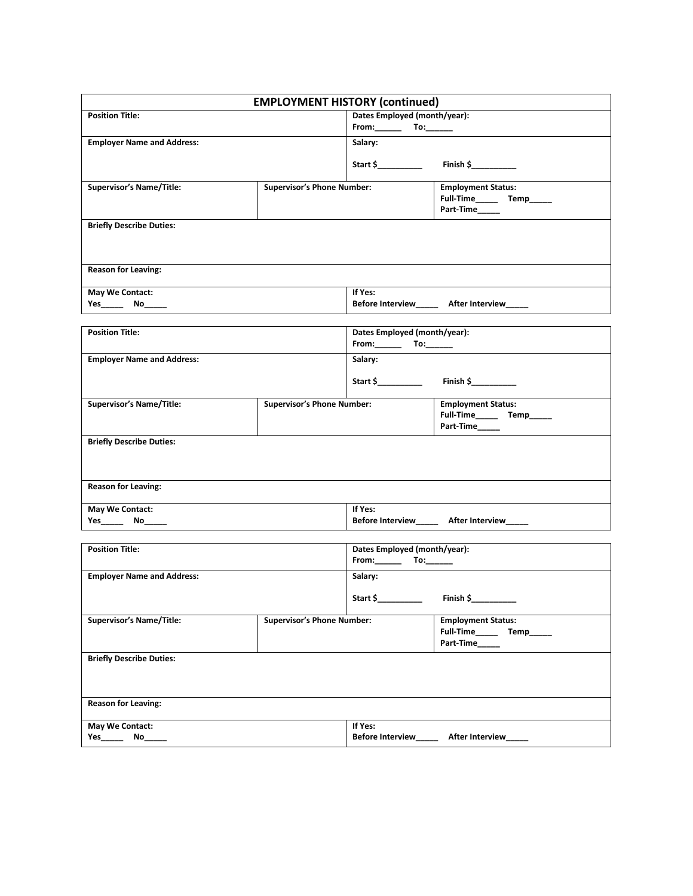| <b>EMPLOYMENT HISTORY (continued)</b>                            |                                   |                                                                                       |                                                                            |
|------------------------------------------------------------------|-----------------------------------|---------------------------------------------------------------------------------------|----------------------------------------------------------------------------|
| <b>Position Title:</b>                                           |                                   | Dates Employed (month/year):                                                          |                                                                            |
|                                                                  |                                   |                                                                                       |                                                                            |
| <b>Employer Name and Address:</b>                                |                                   | Salary:                                                                               |                                                                            |
|                                                                  |                                   |                                                                                       |                                                                            |
| <b>Supervisor's Name/Title:</b>                                  | <b>Supervisor's Phone Number:</b> |                                                                                       | <b>Employment Status:</b><br>Full-Time________ Temp______                  |
| <b>Briefly Describe Duties:</b>                                  |                                   |                                                                                       |                                                                            |
| <b>Reason for Leaving:</b>                                       |                                   |                                                                                       |                                                                            |
| May We Contact:                                                  |                                   | If Yes:                                                                               | Before Interview_______ After Interview______                              |
|                                                                  |                                   |                                                                                       |                                                                            |
| <b>Position Title:</b>                                           |                                   | Dates Employed (month/year):<br>From: $\qquad \qquad \text{To:} \qquad \qquad \qquad$ |                                                                            |
| <b>Employer Name and Address:</b>                                |                                   | Salary:                                                                               |                                                                            |
|                                                                  |                                   |                                                                                       |                                                                            |
| <b>Supervisor's Name/Title:</b>                                  | <b>Supervisor's Phone Number:</b> |                                                                                       | <b>Employment Status:</b><br>Full-Time_______ Temp______<br>Part-Time_____ |
| <b>Briefly Describe Duties:</b>                                  |                                   |                                                                                       |                                                                            |
| <b>Reason for Leaving:</b>                                       |                                   |                                                                                       |                                                                            |
| May We Contact:<br><u> 1980 - Andrea Andrew Maria (h. 1980).</u> |                                   | If Yes:                                                                               | Before Interview_______ After Interview_____                               |
| <b>Position Title:</b>                                           |                                   | Dates Employed (month/year):                                                          |                                                                            |
|                                                                  |                                   |                                                                                       |                                                                            |
| <b>Employer Name and Address:</b>                                |                                   | Salary:                                                                               |                                                                            |
|                                                                  |                                   | Start \$                                                                              |                                                                            |
| <b>Supervisor's Name/Title:</b>                                  | <b>Supervisor's Phone Number:</b> |                                                                                       | <b>Employment Status:</b><br>Full-Time_______ Temp______<br>Part-Time      |
| <b>Briefly Describe Duties:</b>                                  |                                   |                                                                                       |                                                                            |
|                                                                  |                                   |                                                                                       |                                                                            |
| <b>Reason for Leaving:</b>                                       |                                   |                                                                                       |                                                                            |
| May We Contact:<br>No_                                           |                                   | If Yes:<br><b>Before Interview</b>                                                    | After Interview                                                            |